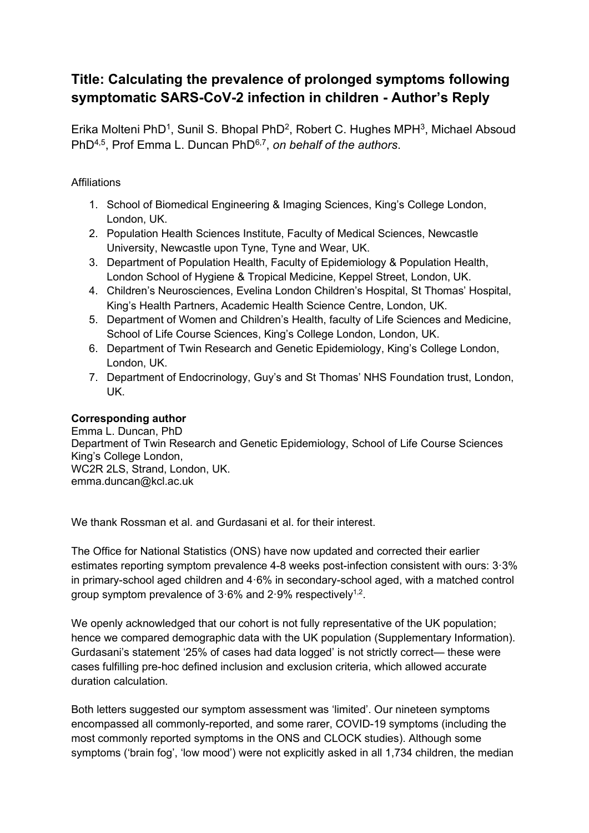## **Title: Calculating the prevalence of prolonged symptoms following symptomatic SARS-CoV-2 infection in children - Author's Reply**

Erika Molteni PhD<sup>1</sup>, Sunil S. Bhopal PhD<sup>2</sup>, Robert C. Hughes MPH<sup>3</sup>, Michael Absoud PhD4,5, Prof Emma L. Duncan PhD6,7 , *on behalf of the authors*.

## **Affiliations**

- 1. School of Biomedical Engineering & Imaging Sciences, King's College London, London, UK.
- 2. Population Health Sciences Institute, Faculty of Medical Sciences, Newcastle University, Newcastle upon Tyne, Tyne and Wear, UK.
- 3. Department of Population Health, Faculty of Epidemiology & Population Health, London School of Hygiene & Tropical Medicine, Keppel Street, London, UK.
- 4. Children's Neurosciences, Evelina London Children's Hospital, St Thomas' Hospital, King's Health Partners, Academic Health Science Centre, London, UK.
- 5. Department of Women and Children's Health, faculty of Life Sciences and Medicine, School of Life Course Sciences, King's College London, London, UK.
- 6. Department of Twin Research and Genetic Epidemiology, King's College London, London, UK.
- 7. Department of Endocrinology, Guy's and St Thomas' NHS Foundation trust, London, UK.

## **Corresponding author**

Emma L. Duncan, PhD Department of Twin Research and Genetic Epidemiology, School of Life Course Sciences King's College London, WC2R 2LS, Strand, London, UK. emma.duncan@kcl.ac.uk

We thank Rossman et al. and Gurdasani et al. for their interest.

The Office for National Statistics (ONS) have now updated and corrected their earlier estimates reporting symptom prevalence 4-8 weeks post-infection consistent with ours: 3·3% in primary-school aged children and 4·6% in secondary-school aged, with a matched control group symptom prevalence of  $3.6\%$  and  $2.9\%$  respectively<sup>1,2</sup>.

We openly acknowledged that our cohort is not fully representative of the UK population; hence we compared demographic data with the UK population (Supplementary Information). Gurdasani's statement '25% of cases had data logged' is not strictly correct— these were cases fulfilling pre-hoc defined inclusion and exclusion criteria, which allowed accurate duration calculation.

Both letters suggested our symptom assessment was 'limited'. Our nineteen symptoms encompassed all commonly-reported, and some rarer, COVID-19 symptoms (including the most commonly reported symptoms in the ONS and CLOCK studies). Although some symptoms ('brain fog', 'low mood') were not explicitly asked in all 1,734 children, the median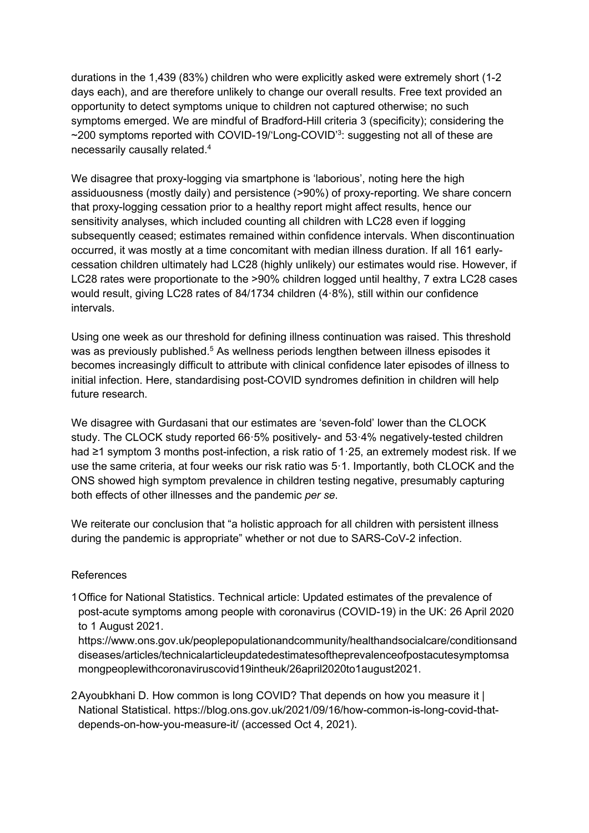durations in the 1,439 (83%) children who were explicitly asked were extremely short (1-2 days each), and are therefore unlikely to change our overall results. Free text provided an opportunity to detect symptoms unique to children not captured otherwise; no such symptoms emerged. We are mindful of Bradford-Hill criteria 3 (specificity); considering the ~200 symptoms reported with COVID-19/'Long-COVID'<sup>3</sup>: suggesting not all of these are necessarily causally related. 4

We disagree that proxy-logging via smartphone is 'laborious', noting here the high assiduousness (mostly daily) and persistence (>90%) of proxy-reporting. We share concern that proxy-logging cessation prior to a healthy report might affect results, hence our sensitivity analyses, which included counting all children with LC28 even if logging subsequently ceased; estimates remained within confidence intervals. When discontinuation occurred, it was mostly at a time concomitant with median illness duration. If all 161 earlycessation children ultimately had LC28 (highly unlikely) our estimates would rise. However, if LC28 rates were proportionate to the >90% children logged until healthy, 7 extra LC28 cases would result, giving LC28 rates of 84/1734 children (4·8%), still within our confidence intervals.

Using one week as our threshold for defining illness continuation was raised. This threshold was as previously published.<sup>5</sup> As wellness periods lengthen between illness episodes it becomes increasingly difficult to attribute with clinical confidence later episodes of illness to initial infection. Here, standardising post-COVID syndromes definition in children will help future research.

We disagree with Gurdasani that our estimates are 'seven-fold' lower than the CLOCK study. The CLOCK study reported 66·5% positively- and 53·4% negatively-tested children had ≥1 symptom 3 months post-infection, a risk ratio of 1·25, an extremely modest risk. If we use the same criteria, at four weeks our risk ratio was 5·1. Importantly, both CLOCK and the ONS showed high symptom prevalence in children testing negative, presumably capturing both effects of other illnesses and the pandemic *per se*.

We reiterate our conclusion that "a holistic approach for all children with persistent illness during the pandemic is appropriate" whether or not due to SARS-CoV-2 infection.

## References

1Office for National Statistics. Technical article: Updated estimates of the prevalence of post-acute symptoms among people with coronavirus (COVID-19) in the UK: 26 April 2020 to 1 August 2021.

https://www.ons.gov.uk/peoplepopulationandcommunity/healthandsocialcare/conditionsand diseases/articles/technicalarticleupdatedestimatesoftheprevalenceofpostacutesymptomsa mongpeoplewithcoronaviruscovid19intheuk/26april2020to1august2021.

2Ayoubkhani D. How common is long COVID? That depends on how you measure it | National Statistical. https://blog.ons.gov.uk/2021/09/16/how-common-is-long-covid-thatdepends-on-how-you-measure-it/ (accessed Oct 4, 2021).